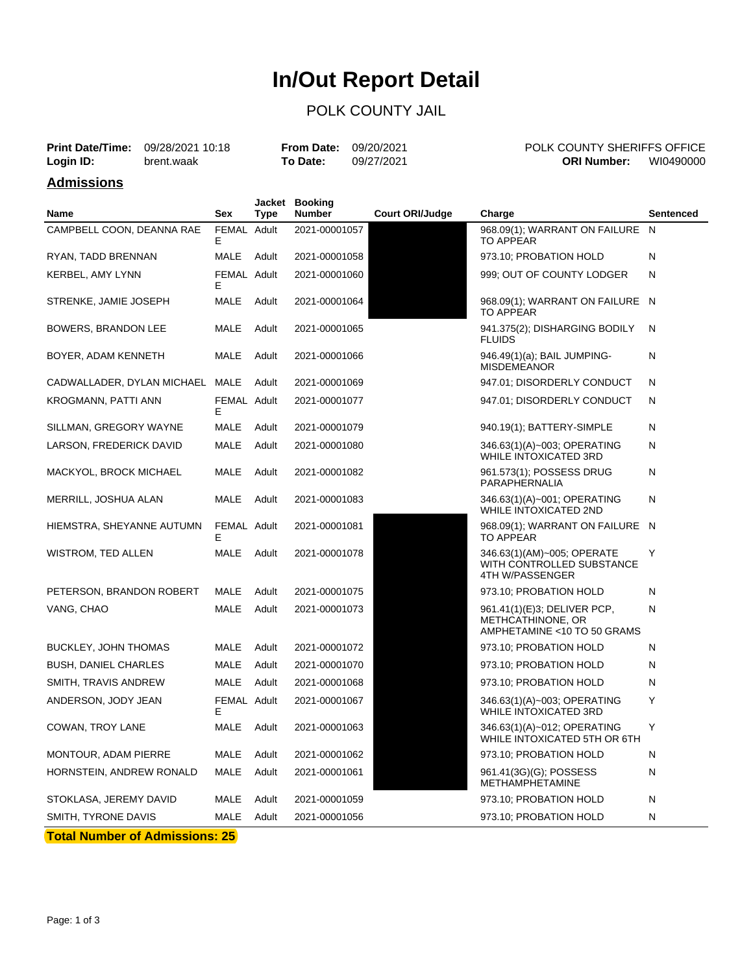# **In/Out Report Detail**

### POLK COUNTY JAIL

|                   | <b>Print Date/Time:</b> 09/28/2021 10:18 |          | POLK COUNTY SHERIFFS OFFICE<br><b>From Date: 09/20/2021</b> |                                 |
|-------------------|------------------------------------------|----------|-------------------------------------------------------------|---------------------------------|
| Login ID:         | brent.waak                               | To Date: | 09/27/2021                                                  | WI0490000<br><b>ORI Number:</b> |
| <b>Admissions</b> |                                          |          |                                                             |                                 |

| Name                                  | Sex              | Type  | Jacket Booking<br><b>Number</b> | <b>Court ORI/Judge</b> | Charge                                                                          | Sentenced |
|---------------------------------------|------------------|-------|---------------------------------|------------------------|---------------------------------------------------------------------------------|-----------|
| CAMPBELL COON, DEANNA RAE             | FEMAL Adult<br>E |       | 2021-00001057                   |                        | 968.09(1); WARRANT ON FAILURE                                                   | N         |
| RYAN, TADD BRENNAN                    | MALE             | Adult | 2021-00001058                   |                        | <b>TO APPEAR</b><br>973.10; PROBATION HOLD                                      | N         |
| KERBEL, AMY LYNN                      | FEMAL Adult      |       | 2021-00001060                   |                        | 999; OUT OF COUNTY LODGER                                                       | N         |
|                                       | Е                |       |                                 |                        |                                                                                 |           |
| STRENKE, JAMIE JOSEPH                 | MALE             | Adult | 2021-00001064                   |                        | 968.09(1); WARRANT ON FAILURE N<br><b>TO APPEAR</b>                             |           |
| BOWERS, BRANDON LEE                   | MALE             | Adult | 2021-00001065                   |                        | 941.375(2); DISHARGING BODILY<br><b>FLUIDS</b>                                  | N         |
| BOYER, ADAM KENNETH                   | MALE             | Adult | 2021-00001066                   |                        | 946.49(1)(a); BAIL JUMPING-<br><b>MISDEMEANOR</b>                               | Ν         |
| CADWALLADER, DYLAN MICHAEL MALE       |                  | Adult | 2021-00001069                   |                        | 947.01; DISORDERLY CONDUCT                                                      | N         |
| KROGMANN, PATTI ANN                   | FEMAL Adult<br>E |       | 2021-00001077                   |                        | 947.01; DISORDERLY CONDUCT                                                      | N         |
| SILLMAN, GREGORY WAYNE                | MALE             | Adult | 2021-00001079                   |                        | 940.19(1); BATTERY-SIMPLE                                                       | Ν         |
| LARSON, FREDERICK DAVID               | MALE             | Adult | 2021-00001080                   |                        | 346.63(1)(A)~003; OPERATING<br><b>WHILE INTOXICATED 3RD</b>                     | N         |
| MACKYOL, BROCK MICHAEL                | MALE             | Adult | 2021-00001082                   |                        | 961.573(1); POSSESS DRUG<br>PARAPHERNALIA                                       | Ν         |
| MERRILL, JOSHUA ALAN                  | MALE             | Adult | 2021-00001083                   |                        | 346.63(1)(A)~001; OPERATING<br><b>WHILE INTOXICATED 2ND</b>                     | Ν         |
| HIEMSTRA, SHEYANNE AUTUMN             | FEMAL Adult<br>Е |       | 2021-00001081                   |                        | 968.09(1); WARRANT ON FAILURE N<br><b>TO APPEAR</b>                             |           |
| WISTROM, TED ALLEN                    | MALE             | Adult | 2021-00001078                   |                        | 346.63(1)(AM)~005; OPERATE<br>WITH CONTROLLED SUBSTANCE<br>4TH W/PASSENGER      | Y         |
| PETERSON, BRANDON ROBERT              | MALE             | Adult | 2021-00001075                   |                        | 973.10; PROBATION HOLD                                                          | Ν         |
| VANG, CHAO                            | MALE             | Adult | 2021-00001073                   |                        | 961.41(1)(E)3; DELIVER PCP,<br>METHCATHINONE, OR<br>AMPHETAMINE <10 TO 50 GRAMS | N         |
| BUCKLEY, JOHN THOMAS                  | MALE             | Adult | 2021-00001072                   |                        | 973.10; PROBATION HOLD                                                          | N         |
| <b>BUSH, DANIEL CHARLES</b>           | MALE             | Adult | 2021-00001070                   |                        | 973.10; PROBATION HOLD                                                          | Ν         |
| SMITH, TRAVIS ANDREW                  | MALE             | Adult | 2021-00001068                   |                        | 973.10; PROBATION HOLD                                                          | Ν         |
| ANDERSON, JODY JEAN                   | FEMAL Adult<br>Е |       | 2021-00001067                   |                        | 346.63(1)(A)~003; OPERATING<br><b>WHILE INTOXICATED 3RD</b>                     | Υ         |
| COWAN, TROY LANE                      | MALE             | Adult | 2021-00001063                   |                        | 346.63(1)(A)~012; OPERATING<br>WHILE INTOXICATED 5TH OR 6TH                     | Y         |
| MONTOUR, ADAM PIERRE                  | MALE             | Adult | 2021-00001062                   |                        | 973.10; PROBATION HOLD                                                          | N         |
| HORNSTEIN, ANDREW RONALD              | <b>MALE</b>      | Adult | 2021-00001061                   |                        | 961.41(3G)(G); POSSESS<br><b>METHAMPHETAMINE</b>                                | N         |
| STOKLASA, JEREMY DAVID                | MALE             | Adult | 2021-00001059                   |                        | 973.10; PROBATION HOLD                                                          | Ν         |
| SMITH, TYRONE DAVIS                   | MALE             | Adult | 2021-00001056                   |                        | 973.10; PROBATION HOLD                                                          | N         |
| <b>Total Number of Admissions: 25</b> |                  |       |                                 |                        |                                                                                 |           |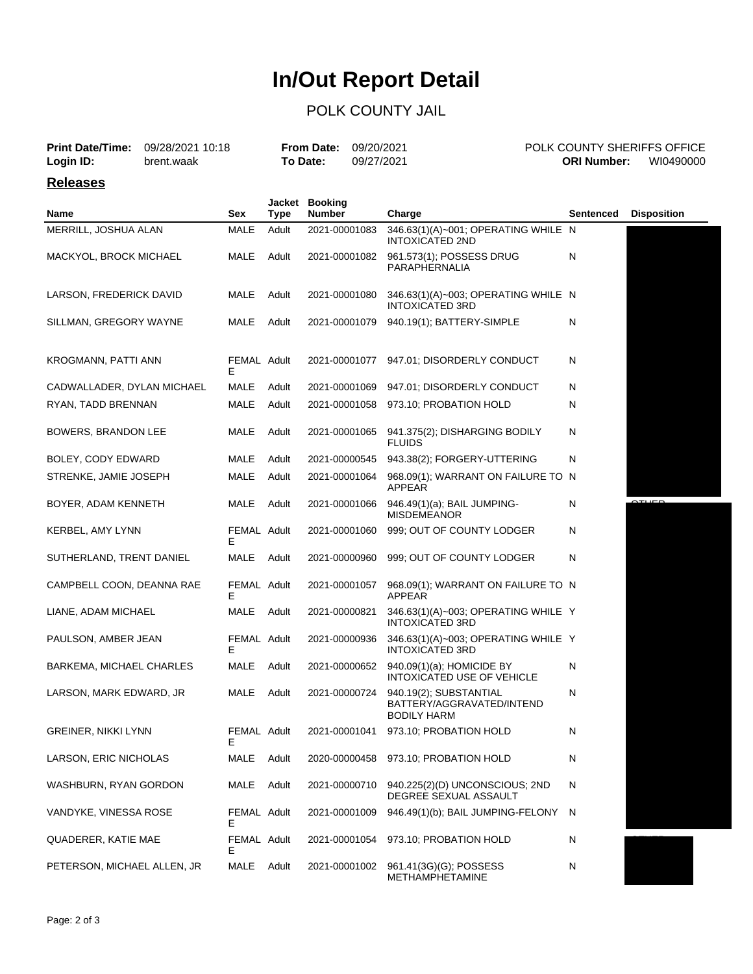## **In/Out Report Detail**

#### POLK COUNTY JAIL

| <b>Print Date/Time:</b><br>Login ID: | 09/28/2021 10:18<br>brent.waak |                   |             | <b>From Date:</b><br>To Date:   | 09/20/2021<br>09/27/2021 |                                                                                         |              | <b>ORI Number:</b> | POLK COUNTY SHERIFFS OFFICE<br>WI0490000 |  |
|--------------------------------------|--------------------------------|-------------------|-------------|---------------------------------|--------------------------|-----------------------------------------------------------------------------------------|--------------|--------------------|------------------------------------------|--|
| <b>Releases</b>                      |                                |                   |             |                                 |                          |                                                                                         |              |                    |                                          |  |
| Name                                 |                                | Sex               | <b>Type</b> | Jacket Booking<br><b>Number</b> |                          | Charge                                                                                  |              | <b>Sentenced</b>   | <b>Disposition</b>                       |  |
| MERRILL, JOSHUA ALAN                 |                                | <b>MALE</b>       | Adult       | 2021-00001083                   |                          | 346.63(1)(A)~001; OPERATING WHILE N<br><b>INTOXICATED 2ND</b>                           |              |                    |                                          |  |
| MACKYOL, BROCK MICHAEL               |                                | MALE              | Adult       | 2021-00001082                   |                          | 961.573(1); POSSESS DRUG<br>PARAPHERNALIA                                               | N            |                    |                                          |  |
| LARSON, FREDERICK DAVID              |                                | MALE              | Adult       | 2021-00001080                   |                          | 346.63(1)(A)~003; OPERATING WHILE N<br><b>INTOXICATED 3RD</b>                           |              |                    |                                          |  |
| SILLMAN, GREGORY WAYNE               |                                | MALE              | Adult       | 2021-00001079                   |                          | 940.19(1); BATTERY-SIMPLE                                                               | N            |                    |                                          |  |
| KROGMANN, PATTI ANN                  |                                | FEMAL Adult<br>Е  |             | 2021-00001077                   |                          | 947.01; DISORDERLY CONDUCT                                                              | N            |                    |                                          |  |
| CADWALLADER, DYLAN MICHAEL           |                                | MALE              | Adult       | 2021-00001069                   |                          | 947.01; DISORDERLY CONDUCT                                                              | N            |                    |                                          |  |
| RYAN, TADD BRENNAN                   |                                | MALE              | Adult       | 2021-00001058                   |                          | 973.10; PROBATION HOLD                                                                  | N            |                    |                                          |  |
| <b>BOWERS, BRANDON LEE</b>           |                                | MALE              | Adult       | 2021-00001065                   |                          | 941.375(2); DISHARGING BODILY<br><b>FLUIDS</b>                                          | N            |                    |                                          |  |
| BOLEY, CODY EDWARD                   |                                | MALE              | Adult       | 2021-00000545                   |                          | 943.38(2); FORGERY-UTTERING                                                             | N            |                    |                                          |  |
| STRENKE, JAMIE JOSEPH                |                                | MALE              | Adult       | 2021-00001064                   |                          | 968.09(1); WARRANT ON FAILURE TO N<br>APPEAR                                            |              |                    |                                          |  |
| BOYER, ADAM KENNETH                  |                                | MALE              | Adult       | 2021-00001066                   |                          | 946.49(1)(a); BAIL JUMPING-<br><b>MISDEMEANOR</b>                                       | N            |                    | حصيته                                    |  |
| KERBEL, AMY LYNN                     |                                | FEMAL Adult<br>Е  |             | 2021-00001060                   |                          | 999; OUT OF COUNTY LODGER                                                               | N            |                    |                                          |  |
| SUTHERLAND, TRENT DANIEL             |                                | MALE              | Adult       | 2021-00000960                   |                          | 999; OUT OF COUNTY LODGER                                                               | N            |                    |                                          |  |
| CAMPBELL COON, DEANNA RAE            |                                | FEMAL Adult<br>Е  |             | 2021-00001057                   |                          | 968.09(1); WARRANT ON FAILURE TO N<br>APPEAR                                            |              |                    |                                          |  |
| LIANE, ADAM MICHAEL                  |                                | MALE              | Adult       | 2021-00000821                   |                          | 346.63(1)(A)~003; OPERATING WHILE Y<br><b>INTOXICATED 3RD</b>                           |              |                    |                                          |  |
| PAULSON, AMBER JEAN                  |                                | FEMAL Adult<br>E  |             | 2021-00000936                   |                          | 346.63(1)(A)~003; OPERATING WHILE Y<br><b>INTOXICATED 3RD</b>                           |              |                    |                                          |  |
| BARKEMA, MICHAEL CHARLES             |                                | <b>MALE</b>       | Adult       | 2021-00000652                   |                          | 940.09(1)(a); HOMICIDE BY<br>INTOXICATED USE OF VEHICLE                                 | N            |                    |                                          |  |
| LARSON, MARK EDWARD, JR              |                                | MALE Adult        |             |                                 |                          | 2021-00000724 940.19(2); SUBSTANTIAL<br>BATTERY/AGGRAVATED/INTEND<br><b>BODILY HARM</b> | N            |                    |                                          |  |
| <b>GREINER, NIKKI LYNN</b>           |                                | FEMAL Adult<br>Е  |             | 2021-00001041                   |                          | 973.10; PROBATION HOLD                                                                  | $\mathsf{N}$ |                    |                                          |  |
| LARSON, ERIC NICHOLAS                |                                | MALE              | Adult       | 2020-00000458                   |                          | 973.10; PROBATION HOLD                                                                  | N            |                    |                                          |  |
| WASHBURN, RYAN GORDON                |                                | MALE              | Adult       | 2021-00000710                   |                          | 940.225(2)(D) UNCONSCIOUS; 2ND<br>DEGREE SEXUAL ASSAULT                                 | N            |                    |                                          |  |
| VANDYKE, VINESSA ROSE                |                                | FEMAL Adult<br>E. |             | 2021-00001009                   |                          | 946.49(1)(b); BAIL JUMPING-FELONY                                                       | N            |                    |                                          |  |
| QUADERER, KATIE MAE                  |                                | FEMAL Adult       |             |                                 |                          | 2021-00001054 973.10; PROBATION HOLD                                                    | N            |                    |                                          |  |

METHAMPHETAMINE

N SIG BOND

E

PETERSON, MICHAEL ALLEN, JR MALE Adult 2021-00001002 961.41(3G)(G); POSSESS